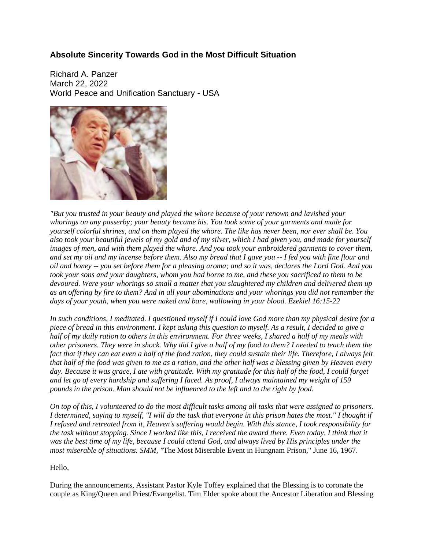## **Absolute Sincerity Towards God in the Most Difficult Situation**

Richard A. Panzer March 22, 2022 World Peace and Unification Sanctuary - USA



*"But you trusted in your beauty and played the whore because of your renown and lavished your whorings on any passerby; your beauty became his. You took some of your garments and made for* yourself colorful shrines, and on them played the whore. The like has never been, nor ever shall be. You also took your beautiful jewels of my gold and of my silver, which I had given you, and made for yourself images of men, and with them played the whore. And you took your embroidered garments to cover them, and set my oil and my incense before them. Also my bread that I gave you  $-I$  fed you with fine flour and oil and honey -- you set before them for a pleasing aroma; and so it was, declares the Lord God. And you took your sons and your daughters, whom you had borne to me, and these you sacrificed to them to be *devoured. Were your whorings so small a matter that you slaughtered my children and delivered them up* as an offering by fire to them? And in all your abominations and your whorings you did not remember the *days of your youth, when you were naked and bare, wallowing in your blood. Ezekiel 16:15-22*

In such conditions, I meditated. I questioned myself if I could love God more than my physical desire for a piece of bread in this environment. I kept asking this question to myself. As a result, I decided to give a half of my daily ration to others in this environment. For three weeks, I shared a half of my meals with other prisoners. They were in shock. Why did I give a half of my food to them? I needed to teach them the fact that if they can eat even a half of the food ration, they could sustain their life. Therefore, I always felt that half of the food was given to me as a ration, and the other half was a blessing given by Heaven every day. Because it was grace, I ate with gratitude. With my gratitude for this half of the food, I could forget and let go of every hardship and suffering I faced. As proof, I always maintained my weight of 159 *pounds in the prison. Man should not be influenced to the left and to the right by food.*

On top of this, I volunteered to do the most difficult tasks among all tasks that were assigned to prisoners. I determined, saying to myself, "I will do the task that everyone in this prison hates the most." I thought if I refused and retreated from it, Heaven's suffering would begin. With this stance, I took responsibility for the task without stopping. Since I worked like this, I received the award there. Even today, I think that it was the best time of my life, because I could attend God, and always lived by His principles under the *most miserable of situations. SMM, "*The Most Miserable Event in Hungnam Prison," June 16, 1967.

## Hello,

During the announcements, Assistant Pastor Kyle Toffey explained that the Blessing is to coronate the couple as King/Queen and Priest/Evangelist. Tim Elder spoke about the Ancestor Liberation and Blessing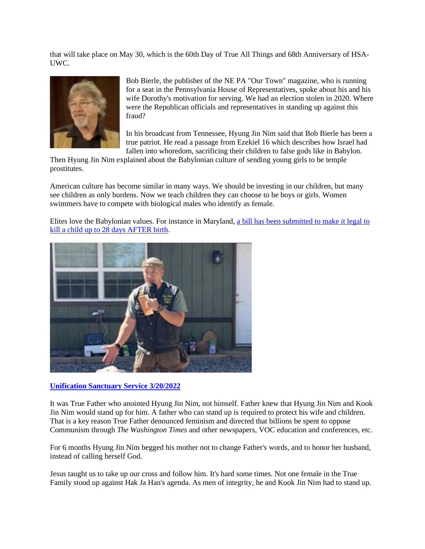that will take place on May 30, which is the 60th Day of True All Things and 68th Anniversary of HSA-UWC.



Bob Bierle, the publisher of the NE PA "Our Town" magazine, who is running for a seat in the Pennsylvania House of Representatives, spoke about his and his wife Dorothy's motivation for serving. We had an election stolen in 2020. Where were the Republican officials and representatives in standing up against this fraud?

In his broadcast from Tennessee, Hyung Jin Nim said that Bob Bierle has been a true patriot. He read a passage from Ezekiel 16 which describes how Israel had fallen into whoredom, sacrificing their children to false gods like in Babylon.

Then Hyung Jin Nim explained about the Babylonian culture of sending young girls to be temple prostitutes.

American culture has become similar in many ways. We should be investing in our children, but many see children as only burdens. Now we teach children they can choose to be boys or girls. Women swimmers have to compete with biological males who identify as female.

Elites love the Babylonian values. For instance in Maryland, a bill has been submitted to make it legal to kill a child up to 28 days AFTER birth.



## **Unification Sanctuary Service 3/20/2022**

It was True Father who anointed Hyung Jin Nim, not himself. Father knew that Hyung Jin Nim and Kook Jin Nim would stand up for him. A father who can stand up is required to protect his wife and children. That is a key reason True Father denounced feminism and directed that billions be spent to oppose Communism through *The Washington Times* and other newspapers, VOC education and conferences, etc.

For 6 months Hyung Jin Nim begged his mother not to change Father's words, and to honor her husband, instead of calling herself God.

Jesus taught us to take up our cross and follow him. It's hard some times. Not one female in the True Family stood up against Hak Ja Han's agenda. As men of integrity, he and Kook Jin Nim had to stand up.